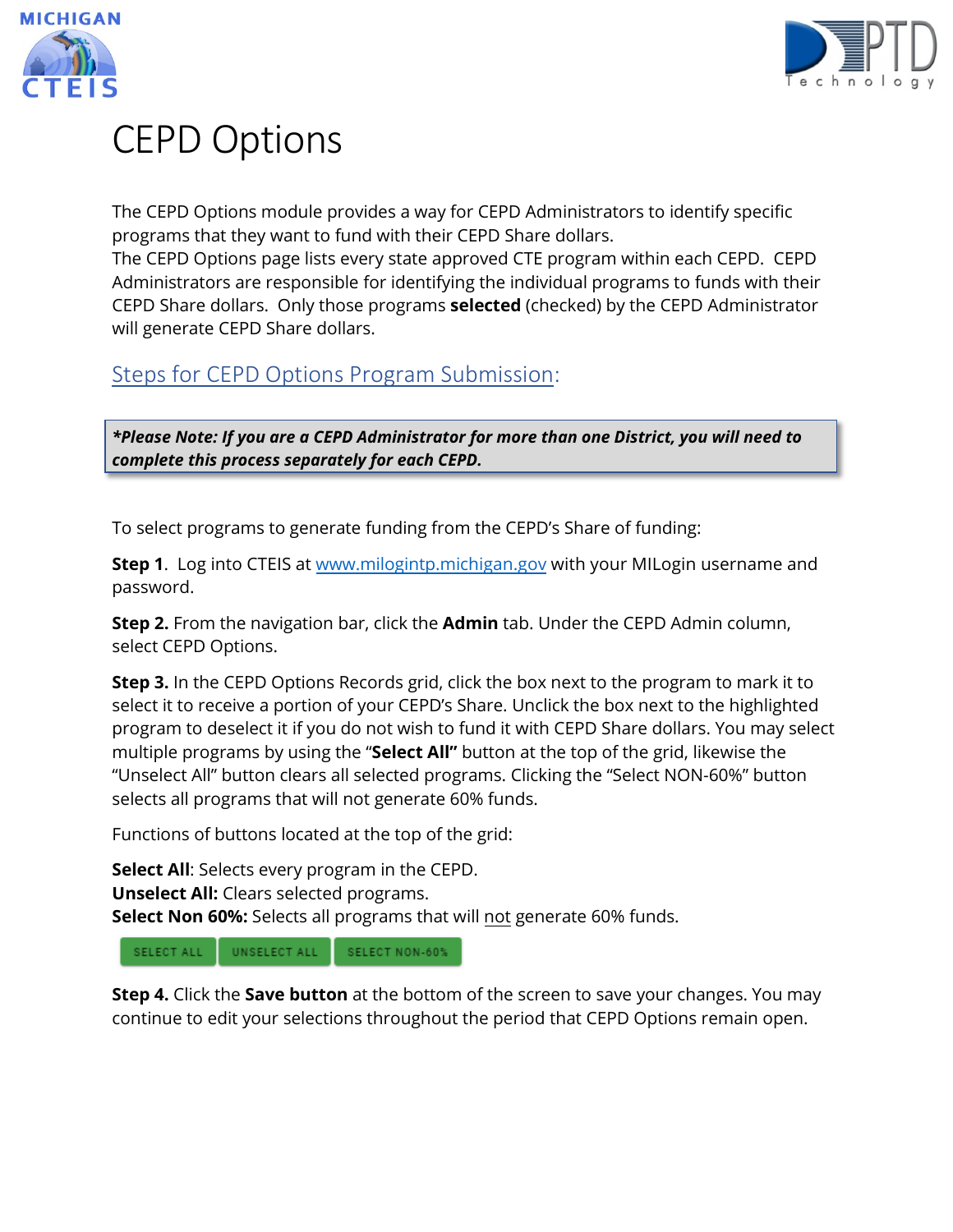



# CEPD Options

The CEPD Options module provides a way for CEPD Administrators to identify specific programs that they want to fund with their CEPD Share dollars.

The CEPD Options page lists every state approved CTE program within each CEPD. CEPD Administrators are responsible for identifying the individual programs to funds with their CEPD Share dollars. Only those programs **selected** (checked) by the CEPD Administrator will generate CEPD Share dollars.

## Steps for CEPD Options Program Submission:

*\*Please Note: If you are a CEPD Administrator for more than one District, you will need to complete this process separately for each CEPD.*

To select programs to generate funding from the CEPD's Share of funding:

**Step 1**. Log into CTEIS a[t www.milogintp.michigan.gov](http://www.milogintp.michigan.gov/) with your MILogin username and password.

**Step 2.** From the navigation bar, click the **Admin** tab. Under the CEPD Admin column, select CEPD Options.

**Step 3.** In the CEPD Options Records grid, click the box next to the program to mark it to select it to receive a portion of your CEPD's Share. Unclick the box next to the highlighted program to deselect it if you do not wish to fund it with CEPD Share dollars. You may select multiple programs by using the "**Select All"** button at the top of the grid, likewise the "Unselect All" button clears all selected programs. Clicking the "Select NON-60%" button selects all programs that will not generate 60% funds.

Functions of buttons located at the top of the grid:

**Select All**: Selects every program in the CEPD.

**Unselect All:** Clears selected programs.

**Select Non 60%:** Selects all programs that will not generate 60% funds.

SELECT ALL UNSELECT ALL SELECT NON-60%

**Step 4.** Click the **Save button** at the bottom of the screen to save your changes. You may continue to edit your selections throughout the period that CEPD Options remain open.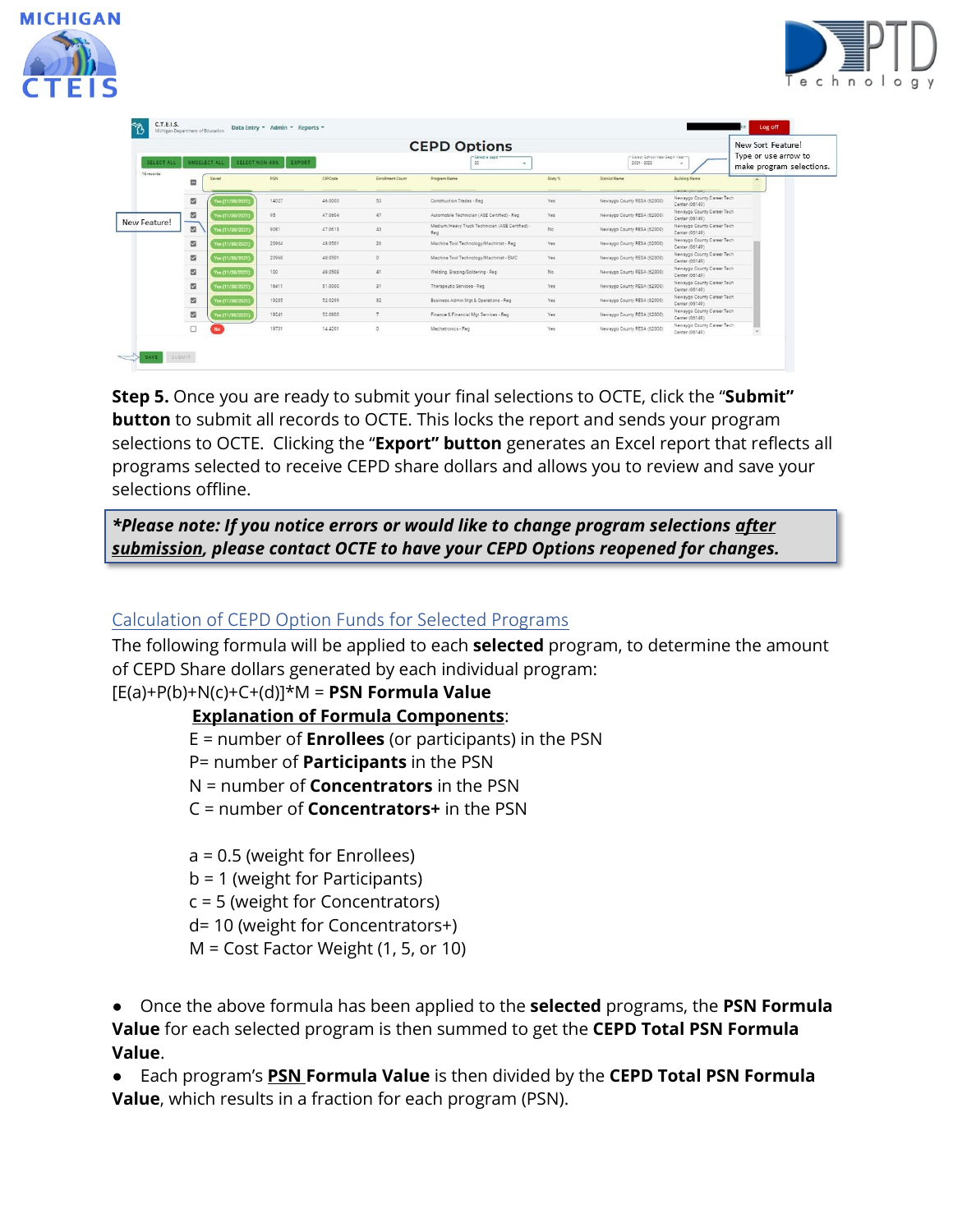



| <b>SELECT ALL</b><br>19 records | UNSELECT ALL         | SELECT NON-60%   | EXPORT |         |                         | <b>CEPD Options</b><br>Select a ce<br>20<br>$\sim$     | Select School-Year Sepin Year-<br>2021 - 2022 |                             |                                                           | New Sort Feature!<br>Type or use arrow to    |
|---------------------------------|----------------------|------------------|--------|---------|-------------------------|--------------------------------------------------------|-----------------------------------------------|-----------------------------|-----------------------------------------------------------|----------------------------------------------|
|                                 | $\blacksquare$       | Saved            | PSN    | CIPCode | <b>Enrollment Count</b> | Program Name                                           | Sloty N                                       | <b>District Name</b>        | <b>Building Name</b>                                      | make program selections.<br>$\blacktriangle$ |
|                                 | $\overline{a}$       | Yes (11/30/2021) | 14027  | 46,0000 | 53                      | Construction Trades - Reg                              | Yes                                           | Newaygo County RESA (62000) | CROSSONIC<br>Newaygo County Career Tech<br>Center (06149) |                                              |
| New Feature!                    | $\blacksquare$       | Yes (11/30/2021) | 95     | 47.0604 | 47                      | Automobile Technician (ASE Certified) - Reg            | Yes                                           | Newaygo County RESA (62000) | Newaygo County Career Tech<br>Center (06149)              |                                              |
|                                 | --<br>$\overline{a}$ | Yes (11/30/2021) | 9081   | 47.0613 | 43                      | Medium/Heavy Truck Technician (ASE Certified) -<br>Reg | No                                            | Newayoo County RESA (62000) | Newaygo County Career Tech<br>Center (06149)              |                                              |
|                                 | $\overline{a}$       | Yes (11/30/2021) | 20964  | 48.0501 | 26                      | Machine Tool Technology/Machinist - Reg                | Yes                                           | Newaygo County RESA (62000) | Newaygo County Career Tech<br>Center (06149)              |                                              |
|                                 | $\Box$               | Yes (11/30/2021) | 20968  | 48.0501 | $\circ$                 | Machine Tool Technology/Machinist - EMC                | Yes                                           | Newaygo County RESA (62000) | Newaygo County Career Tech<br>Center (06149)              |                                              |
|                                 | $\Box$               | Yes (11/30/2021) | 100    | 48.0508 | 41                      | Welding, Brazing/Soldering - Reg.                      | No:                                           | Newaygo County RESA (62000) | Newaygo County Career Tech<br>Center (06149)              |                                              |
|                                 | $\Box$               | Yes (11/30/2021) | 16411  | 51,0000 | 31                      | Therapeutic Services - Reg.                            | Yes                                           | Newaygo County RESA (62000) | Newaygo County Career Tech<br>Center (06149)              |                                              |
|                                 | $\blacksquare$       | Yes (11/30/2021) | 19235  | 52.0299 | 32                      | Business Admin Mgt & Operations - Reg                  | Yes                                           | Newaygo County RESA (62000) | Newaygo County Career Tech<br>Center (06149)              |                                              |
|                                 | $\overline{a}$       | Yes (11/30/2021) | 19241  | 52,0800 | 7                       | Finance & Financial Mot Services - Reg.                | Yes                                           | Newaygo County RESA (62000) | Newaygo County Career Tech<br>Center (06149)              |                                              |
|                                 | $\Box$               | No:              | 19731  | 14,4201 | $\circ$                 | Mechatronics - Reg.                                    | Yes                                           | Newaygo County RESA (62000) | Newaygo County Career Tech<br>Center (06149)              |                                              |

**Step 5.** Once you are ready to submit your final selections to OCTE, click the "**Submit" button** to submit all records to OCTE. This locks the report and sends your program selections to OCTE. Clicking the "**Export" button** generates an Excel report that reflects all programs selected to receive CEPD share dollars and allows you to review and save your selections offline.

*\*Please note: If you notice errors or would like to change program selections after submission, please contact OCTE to have your CEPD Options reopened for changes.*

### Calculation of CEPD Option Funds for Selected Programs

The following formula will be applied to each **selected** program, to determine the amount of CEPD Share dollars generated by each individual program:

#### [E(a)+P(b)+N(c)+C+(d)]\*M = **PSN Formula Value**

#### **Explanation of Formula Components**:

E = number of **Enrollees** (or participants) in the PSN

P= number of **Participants** in the PSN

N = number of **Concentrators** in the PSN

C = number of **Concentrators+** in the PSN

a = 0.5 (weight for Enrollees)

- b = 1 (weight for Participants)
- c = 5 (weight for Concentrators)
- d= 10 (weight for Concentrators+)
- M = Cost Factor Weight (1, 5, or 10)

● Once the above formula has been applied to the **selected** programs, the **PSN Formula Value** for each selected program is then summed to get the **CEPD Total PSN Formula Value**.

● Each program's **PSN Formula Value** is then divided by the **CEPD Total PSN Formula Value**, which results in a fraction for each program (PSN).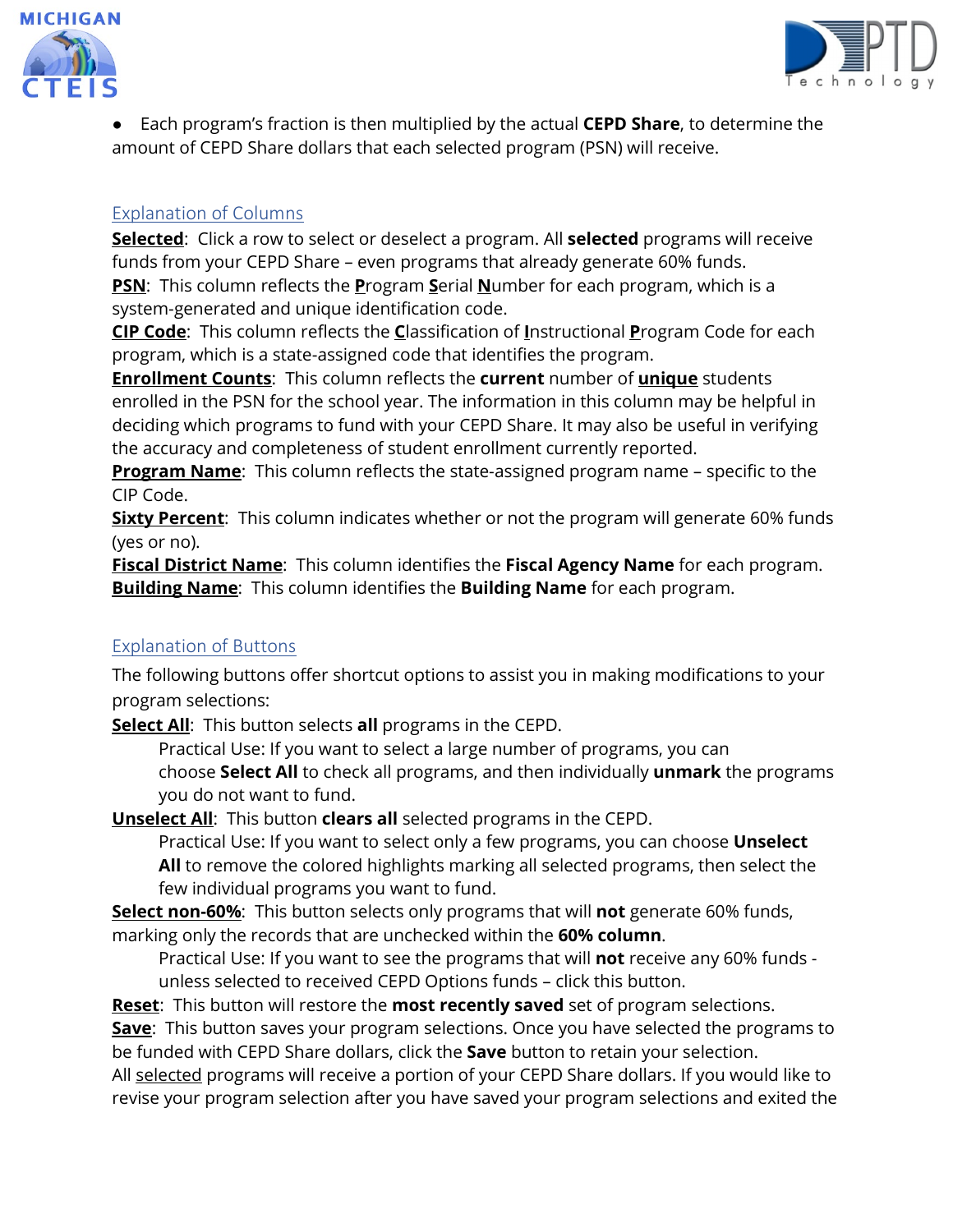



● Each program's fraction is then multiplied by the actual **CEPD Share**, to determine the amount of CEPD Share dollars that each selected program (PSN) will receive.

#### Explanation of Columns

**Selected**: Click a row to select or deselect a program. All **selected** programs will receive funds from your CEPD Share – even programs that already generate 60% funds.

**PSN**: This column reflects the **P**rogram **S**erial **N**umber for each program, which is a system-generated and unique identification code.

**CIP Code**: This column reflects the **C**lassification of **I**nstructional **P**rogram Code for each program, which is a state-assigned code that identifies the program.

**Enrollment Counts**: This column reflects the **current** number of **unique** students enrolled in the PSN for the school year. The information in this column may be helpful in deciding which programs to fund with your CEPD Share. It may also be useful in verifying the accuracy and completeness of student enrollment currently reported.

**Program Name**: This column reflects the state-assigned program name – specific to the CIP Code.

**Sixty Percent**: This column indicates whether or not the program will generate 60% funds (yes or no).

**Fiscal District Name**: This column identifies the **Fiscal Agency Name** for each program. **Building Name**: This column identifies the **Building Name** for each program.

#### Explanation of Buttons

The following buttons offer shortcut options to assist you in making modifications to your program selections:

**Select All**: This button selects **all** programs in the CEPD.

Practical Use: If you want to select a large number of programs, you can choose **Select All** to check all programs, and then individually **unmark** the programs you do not want to fund.

**Unselect All**: This button **clears all** selected programs in the CEPD.

Practical Use: If you want to select only a few programs, you can choose **Unselect All** to remove the colored highlights marking all selected programs, then select the few individual programs you want to fund.

**Select non-60%**: This button selects only programs that will **not** generate 60% funds, marking only the records that are unchecked within the **60% column**.

Practical Use: If you want to see the programs that will **not** receive any 60% funds unless selected to received CEPD Options funds – click this button.

**Reset**: This button will restore the **most recently saved** set of program selections.

**Save**: This button saves your program selections. Once you have selected the programs to be funded with CEPD Share dollars, click the **Save** button to retain your selection.

All selected programs will receive a portion of your CEPD Share dollars. If you would like to revise your program selection after you have saved your program selections and exited the